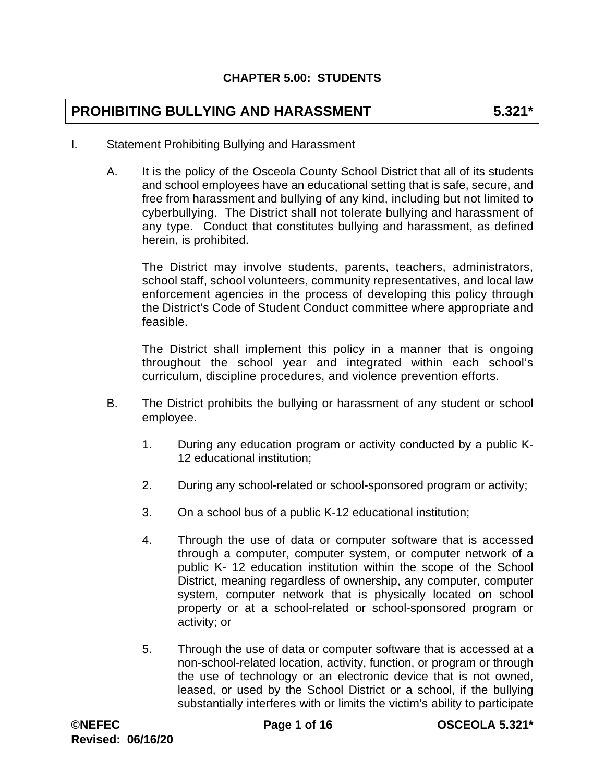# **PROHIBITING BULLYING AND HARASSMENT 5.321\***

- I. Statement Prohibiting Bullying and Harassment
	- A. It is the policy of the Osceola County School District that all of its students and school employees have an educational setting that is safe, secure, and free from harassment and bullying of any kind, including but not limited to cyberbullying. The District shall not tolerate bullying and harassment of any type. Conduct that constitutes bullying and harassment, as defined herein, is prohibited.

The District may involve students, parents, teachers, administrators, school staff, school volunteers, community representatives, and local law enforcement agencies in the process of developing this policy through the District's Code of Student Conduct committee where appropriate and feasible.

The District shall implement this policy in a manner that is ongoing throughout the school year and integrated within each school's curriculum, discipline procedures, and violence prevention efforts.

- B. The District prohibits the bullying or harassment of any student or school employee.
	- 1. During any education program or activity conducted by a public K-12 educational institution;
	- 2. During any school-related or school-sponsored program or activity;
	- 3. On a school bus of a public K-12 educational institution;
	- 4. Through the use of data or computer software that is accessed through a computer, computer system, or computer network of a public K- 12 education institution within the scope of the School District, meaning regardless of ownership, any computer, computer system, computer network that is physically located on school property or at a school-related or school-sponsored program or activity; or
	- 5. Through the use of data or computer software that is accessed at a non-school-related location, activity, function, or program or through the use of technology or an electronic device that is not owned, leased, or used by the School District or a school, if the bullying substantially interferes with or limits the victim's ability to participate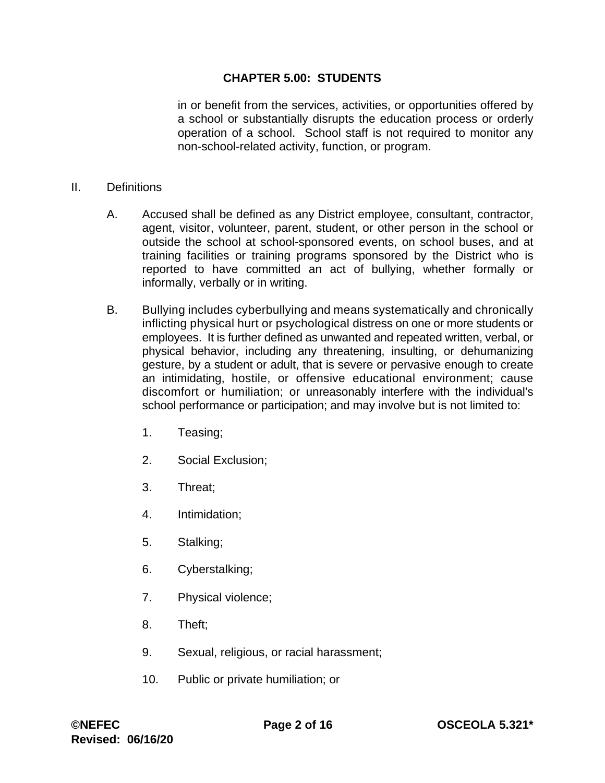in or benefit from the services, activities, or opportunities offered by a school or substantially disrupts the education process or orderly operation of a school. School staff is not required to monitor any non-school-related activity, function, or program.

#### II. Definitions

- A. Accused shall be defined as any District employee, consultant, contractor, agent, visitor, volunteer, parent, student, or other person in the school or outside the school at school-sponsored events, on school buses, and at training facilities or training programs sponsored by the District who is reported to have committed an act of bullying, whether formally or informally, verbally or in writing.
- B. Bullying includes cyberbullying and means systematically and chronically inflicting physical hurt or psychological distress on one or more students or employees. It is further defined as unwanted and repeated written, verbal, or physical behavior, including any threatening, insulting, or dehumanizing gesture, by a student or adult, that is severe or pervasive enough to create an intimidating, hostile, or offensive educational environment; cause discomfort or humiliation; or unreasonably interfere with the individual's school performance or participation; and may involve but is not limited to:
	- 1. Teasing;
	- 2. Social Exclusion;
	- 3. Threat;
	- 4. Intimidation;
	- 5. Stalking;
	- 6. Cyberstalking;
	- 7. Physical violence;
	- 8. Theft;
	- 9. Sexual, religious, or racial harassment;
	- 10. Public or private humiliation; or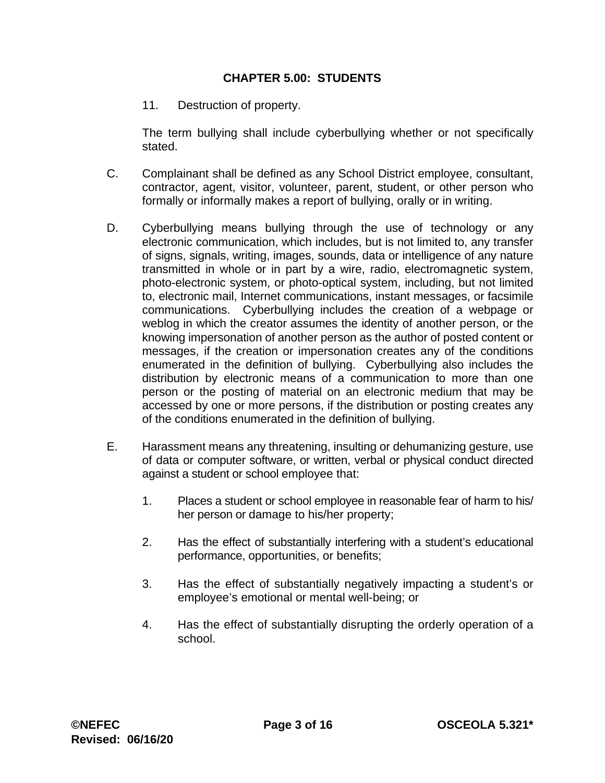11. Destruction of property.

The term bullying shall include cyberbullying whether or not specifically stated.

- C. Complainant shall be defined as any School District employee, consultant, contractor, agent, visitor, volunteer, parent, student, or other person who formally or informally makes a report of bullying, orally or in writing.
- D. Cyberbullying means bullying through the use of technology or any electronic communication, which includes, but is not limited to, any transfer of signs, signals, writing, images, sounds, data or intelligence of any nature transmitted in whole or in part by a wire, radio, electromagnetic system, photo-electronic system, or photo-optical system, including, but not limited to, electronic mail, Internet communications, instant messages, or facsimile communications. Cyberbullying includes the creation of a webpage or weblog in which the creator assumes the identity of another person, or the knowing impersonation of another person as the author of posted content or messages, if the creation or impersonation creates any of the conditions enumerated in the definition of bullying. Cyberbullying also includes the distribution by electronic means of a communication to more than one person or the posting of material on an electronic medium that may be accessed by one or more persons, if the distribution or posting creates any of the conditions enumerated in the definition of bullying.
- E. Harassment means any threatening, insulting or dehumanizing gesture, use of data or computer software, or written, verbal or physical conduct directed against a student or school employee that:
	- 1. Places a student or school employee in reasonable fear of harm to his/ her person or damage to his/her property;
	- 2. Has the effect of substantially interfering with a student's educational performance, opportunities, or benefits;
	- 3. Has the effect of substantially negatively impacting a student's or employee's emotional or mental well-being; or
	- 4. Has the effect of substantially disrupting the orderly operation of a school.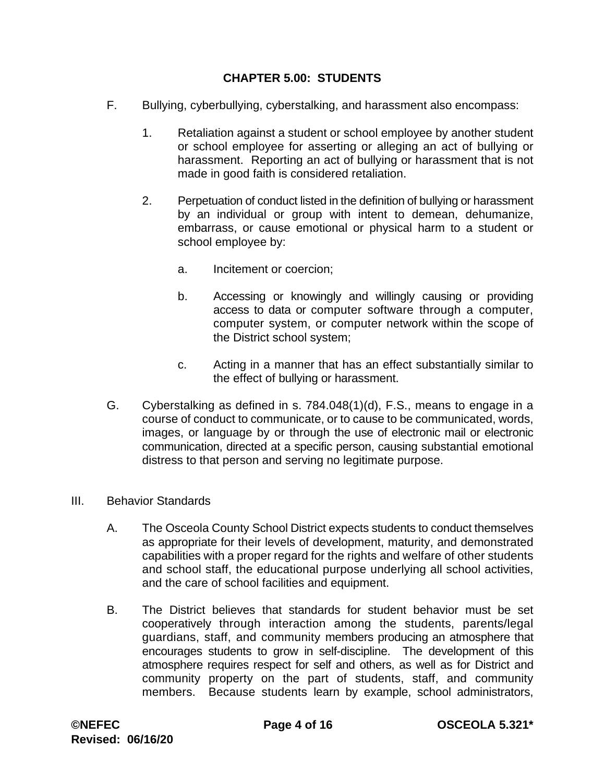- F. Bullying, cyberbullying, cyberstalking, and harassment also encompass:
	- 1. Retaliation against a student or school employee by another student or school employee for asserting or alleging an act of bullying or harassment. Reporting an act of bullying or harassment that is not made in good faith is considered retaliation.
	- 2. Perpetuation of conduct listed in the definition of bullying or harassment by an individual or group with intent to demean, dehumanize, embarrass, or cause emotional or physical harm to a student or school employee by:
		- a. Incitement or coercion;
		- b. Accessing or knowingly and willingly causing or providing access to data or computer software through a computer, computer system, or computer network within the scope of the District school system;
		- c. Acting in a manner that has an effect substantially similar to the effect of bullying or harassment.
- G. Cyberstalking as defined in s. 784.048(1)(d), F.S., means to engage in a course of conduct to communicate, or to cause to be communicated, words, images, or language by or through the use of electronic mail or electronic communication, directed at a specific person, causing substantial emotional distress to that person and serving no legitimate purpose.
- III. Behavior Standards
	- A. The Osceola County School District expects students to conduct themselves as appropriate for their levels of development, maturity, and demonstrated capabilities with a proper regard for the rights and welfare of other students and school staff, the educational purpose underlying all school activities, and the care of school facilities and equipment.
	- B. The District believes that standards for student behavior must be set cooperatively through interaction among the students, parents/legal guardians, staff, and community members producing an atmosphere that encourages students to grow in self-discipline. The development of this atmosphere requires respect for self and others, as well as for District and community property on the part of students, staff, and community members. Because students learn by example, school administrators,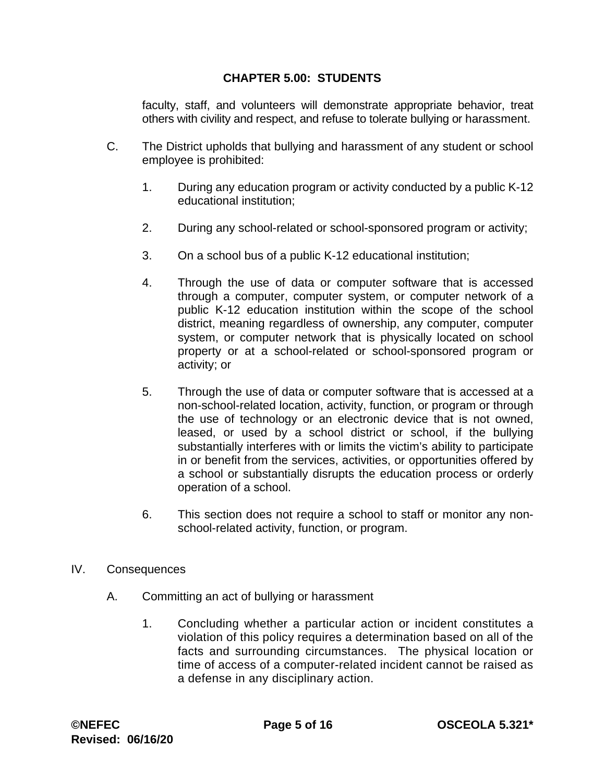faculty, staff, and volunteers will demonstrate appropriate behavior, treat others with civility and respect, and refuse to tolerate bullying or harassment.

- C. The District upholds that bullying and harassment of any student or school employee is prohibited:
	- 1. During any education program or activity conducted by a public K-12 educational institution;
	- 2. During any school-related or school-sponsored program or activity;
	- 3. On a school bus of a public K-12 educational institution;
	- 4. Through the use of data or computer software that is accessed through a computer, computer system, or computer network of a public K-12 education institution within the scope of the school district, meaning regardless of ownership, any computer, computer system, or computer network that is physically located on school property or at a school-related or school-sponsored program or activity; or
	- 5. Through the use of data or computer software that is accessed at a non-school-related location, activity, function, or program or through the use of technology or an electronic device that is not owned, leased, or used by a school district or school, if the bullying substantially interferes with or limits the victim's ability to participate in or benefit from the services, activities, or opportunities offered by a school or substantially disrupts the education process or orderly operation of a school.
	- 6. This section does not require a school to staff or monitor any nonschool-related activity, function, or program.
- IV. Consequences
	- A. Committing an act of bullying or harassment
		- 1. Concluding whether a particular action or incident constitutes a violation of this policy requires a determination based on all of the facts and surrounding circumstances. The physical location or time of access of a computer-related incident cannot be raised as a defense in any disciplinary action.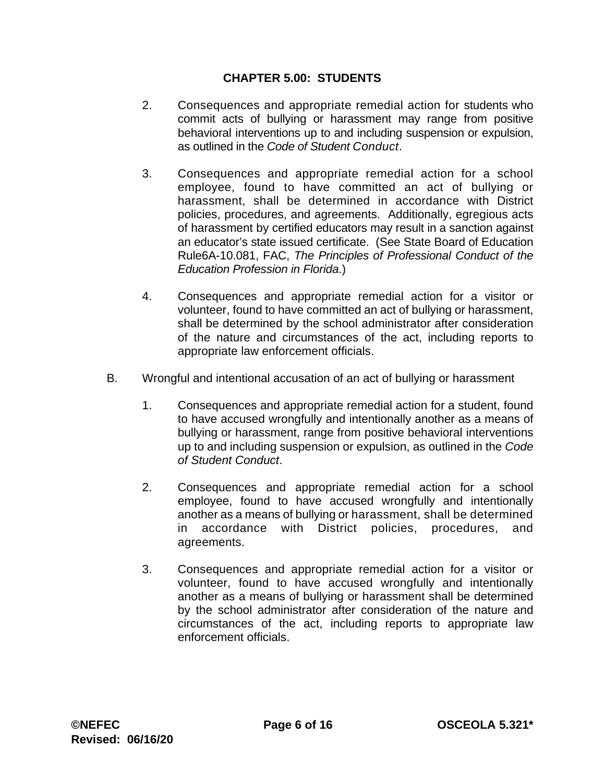- 2. Consequences and appropriate remedial action for students who commit acts of bullying or harassment may range from positive behavioral interventions up to and including suspension or expulsion, as outlined in the *Code of Student Conduct*.
- 3. Consequences and appropriate remedial action for a school employee, found to have committed an act of bullying or harassment, shall be determined in accordance with District policies, procedures, and agreements. Additionally, egregious acts of harassment by certified educators may result in a sanction against an educator's state issued certificate. (See State Board of Education Rule6A-10.081, FAC, *The Principles of Professional Conduct of the Education Profession in Florida*.)
- 4. Consequences and appropriate remedial action for a visitor or volunteer, found to have committed an act of bullying or harassment, shall be determined by the school administrator after consideration of the nature and circumstances of the act, including reports to appropriate law enforcement officials.
- B. Wrongful and intentional accusation of an act of bullying or harassment
	- 1. Consequences and appropriate remedial action for a student, found to have accused wrongfully and intentionally another as a means of bullying or harassment, range from positive behavioral interventions up to and including suspension or expulsion, as outlined in the *Code of Student Conduct*.
	- 2. Consequences and appropriate remedial action for a school employee, found to have accused wrongfully and intentionally another as a means of bullying or harassment, shall be determined in accordance with District policies, procedures, and agreements.
	- 3. Consequences and appropriate remedial action for a visitor or volunteer, found to have accused wrongfully and intentionally another as a means of bullying or harassment shall be determined by the school administrator after consideration of the nature and circumstances of the act, including reports to appropriate law enforcement officials.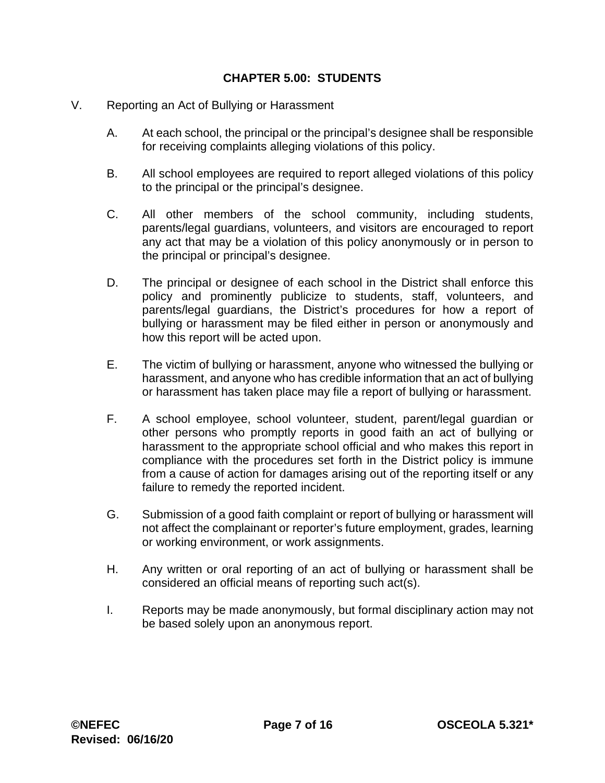- V. Reporting an Act of Bullying or Harassment
	- A. At each school, the principal or the principal's designee shall be responsible for receiving complaints alleging violations of this policy.
	- B. All school employees are required to report alleged violations of this policy to the principal or the principal's designee.
	- C. All other members of the school community, including students, parents/legal guardians, volunteers, and visitors are encouraged to report any act that may be a violation of this policy anonymously or in person to the principal or principal's designee.
	- D. The principal or designee of each school in the District shall enforce this policy and prominently publicize to students, staff, volunteers, and parents/legal guardians, the District's procedures for how a report of bullying or harassment may be filed either in person or anonymously and how this report will be acted upon.
	- E. The victim of bullying or harassment, anyone who witnessed the bullying or harassment, and anyone who has credible information that an act of bullying or harassment has taken place may file a report of bullying or harassment.
	- F. A school employee, school volunteer, student, parent/legal guardian or other persons who promptly reports in good faith an act of bullying or harassment to the appropriate school official and who makes this report in compliance with the procedures set forth in the District policy is immune from a cause of action for damages arising out of the reporting itself or any failure to remedy the reported incident.
	- G. Submission of a good faith complaint or report of bullying or harassment will not affect the complainant or reporter's future employment, grades, learning or working environment, or work assignments.
	- H. Any written or oral reporting of an act of bullying or harassment shall be considered an official means of reporting such act(s).
	- I. Reports may be made anonymously, but formal disciplinary action may not be based solely upon an anonymous report.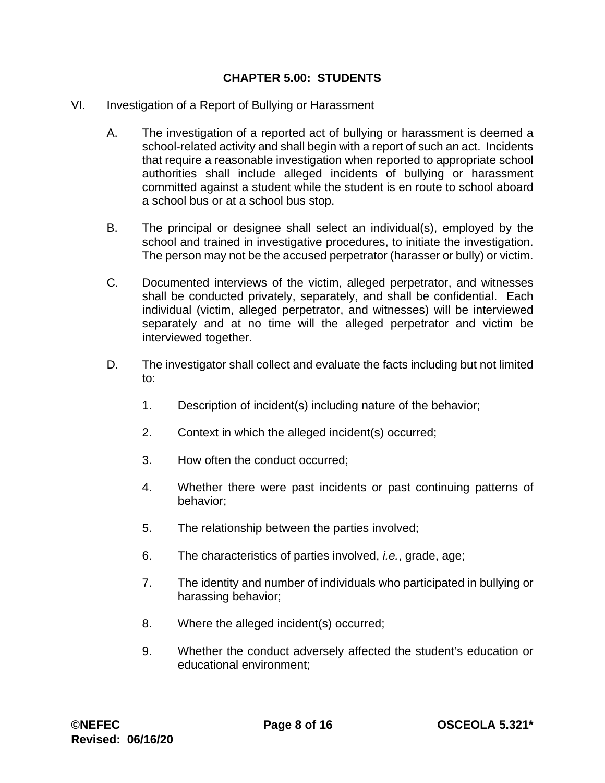- VI. Investigation of a Report of Bullying or Harassment
	- A. The investigation of a reported act of bullying or harassment is deemed a school-related activity and shall begin with a report of such an act. Incidents that require a reasonable investigation when reported to appropriate school authorities shall include alleged incidents of bullying or harassment committed against a student while the student is en route to school aboard a school bus or at a school bus stop.
	- B. The principal or designee shall select an individual(s), employed by the school and trained in investigative procedures, to initiate the investigation. The person may not be the accused perpetrator (harasser or bully) or victim.
	- C. Documented interviews of the victim, alleged perpetrator, and witnesses shall be conducted privately, separately, and shall be confidential. Each individual (victim, alleged perpetrator, and witnesses) will be interviewed separately and at no time will the alleged perpetrator and victim be interviewed together.
	- D. The investigator shall collect and evaluate the facts including but not limited to:
		- 1. Description of incident(s) including nature of the behavior;
		- 2. Context in which the alleged incident(s) occurred;
		- 3. How often the conduct occurred;
		- 4. Whether there were past incidents or past continuing patterns of behavior;
		- 5. The relationship between the parties involved;
		- 6. The characteristics of parties involved, *i.e.*, grade, age;
		- 7. The identity and number of individuals who participated in bullying or harassing behavior;
		- 8. Where the alleged incident(s) occurred;
		- 9. Whether the conduct adversely affected the student's education or educational environment;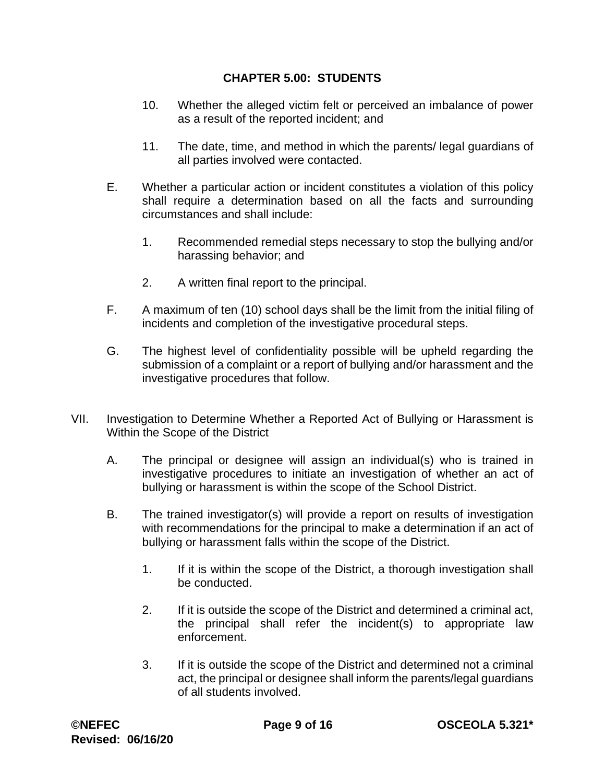- 10. Whether the alleged victim felt or perceived an imbalance of power as a result of the reported incident; and
- 11. The date, time, and method in which the parents/ legal guardians of all parties involved were contacted.
- E. Whether a particular action or incident constitutes a violation of this policy shall require a determination based on all the facts and surrounding circumstances and shall include:
	- 1. Recommended remedial steps necessary to stop the bullying and/or harassing behavior; and
	- 2. A written final report to the principal.
- F. A maximum of ten (10) school days shall be the limit from the initial filing of incidents and completion of the investigative procedural steps.
- G. The highest level of confidentiality possible will be upheld regarding the submission of a complaint or a report of bullying and/or harassment and the investigative procedures that follow.
- VII. Investigation to Determine Whether a Reported Act of Bullying or Harassment is Within the Scope of the District
	- A. The principal or designee will assign an individual(s) who is trained in investigative procedures to initiate an investigation of whether an act of bullying or harassment is within the scope of the School District.
	- B. The trained investigator(s) will provide a report on results of investigation with recommendations for the principal to make a determination if an act of bullying or harassment falls within the scope of the District.
		- 1. If it is within the scope of the District, a thorough investigation shall be conducted.
		- 2. If it is outside the scope of the District and determined a criminal act, the principal shall refer the incident(s) to appropriate law enforcement.
		- 3. If it is outside the scope of the District and determined not a criminal act, the principal or designee shall inform the parents/legal guardians of all students involved.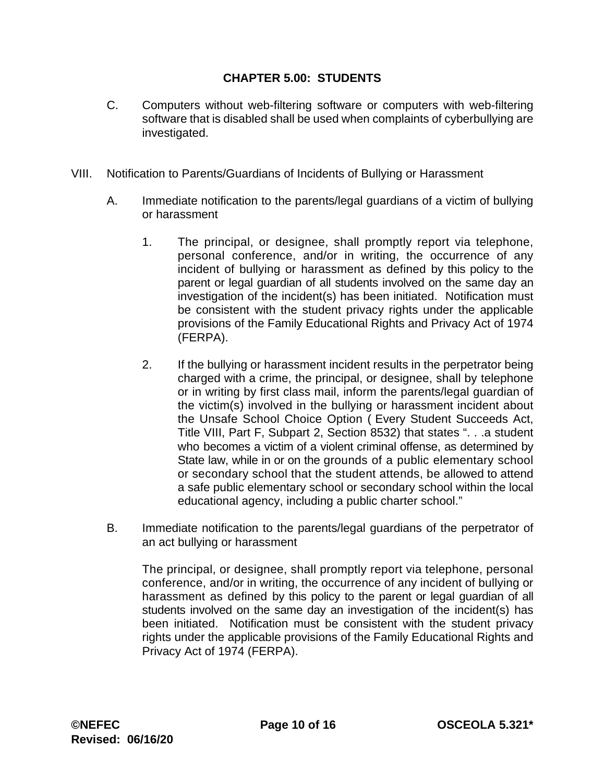- C. Computers without web-filtering software or computers with web-filtering software that is disabled shall be used when complaints of cyberbullying are investigated.
- VIII. Notification to Parents/Guardians of Incidents of Bullying or Harassment
	- A. Immediate notification to the parents/legal guardians of a victim of bullying or harassment
		- 1. The principal, or designee, shall promptly report via telephone, personal conference, and/or in writing, the occurrence of any incident of bullying or harassment as defined by this policy to the parent or legal guardian of all students involved on the same day an investigation of the incident(s) has been initiated. Notification must be consistent with the student privacy rights under the applicable provisions of the Family Educational Rights and Privacy Act of 1974 (FERPA).
		- 2. If the bullying or harassment incident results in the perpetrator being charged with a crime, the principal, or designee, shall by telephone or in writing by first class mail, inform the parents/legal guardian of the victim(s) involved in the bullying or harassment incident about the Unsafe School Choice Option ( Every Student Succeeds Act, Title VIII, Part F, Subpart 2, Section 8532) that states ". . .a student who becomes a victim of a violent criminal offense, as determined by State law, while in or on the grounds of a public elementary school or secondary school that the student attends, be allowed to attend a safe public elementary school or secondary school within the local educational agency, including a public charter school."
	- B. Immediate notification to the parents/legal guardians of the perpetrator of an act bullying or harassment

The principal, or designee, shall promptly report via telephone, personal conference, and/or in writing, the occurrence of any incident of bullying or harassment as defined by this policy to the parent or legal guardian of all students involved on the same day an investigation of the incident(s) has been initiated. Notification must be consistent with the student privacy rights under the applicable provisions of the Family Educational Rights and Privacy Act of 1974 (FERPA).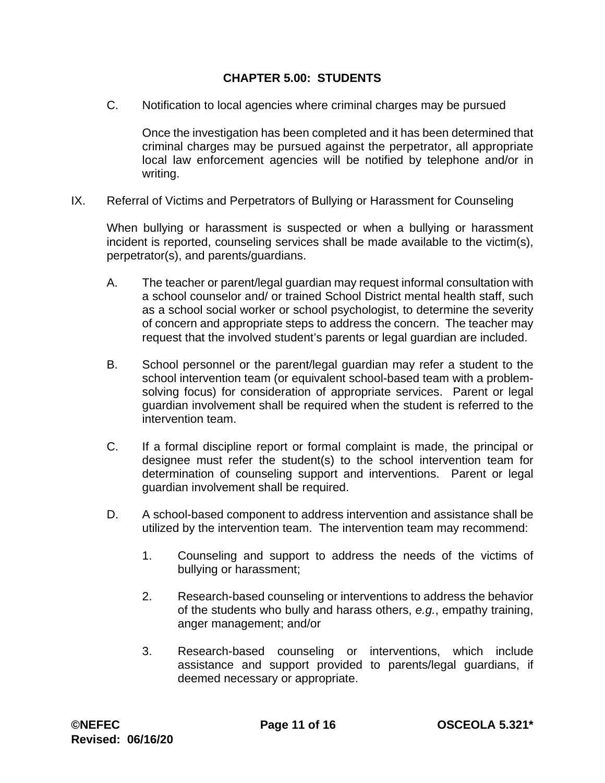C. Notification to local agencies where criminal charges may be pursued

Once the investigation has been completed and it has been determined that criminal charges may be pursued against the perpetrator, all appropriate local law enforcement agencies will be notified by telephone and/or in writing.

IX. Referral of Victims and Perpetrators of Bullying or Harassment for Counseling

When bullying or harassment is suspected or when a bullying or harassment incident is reported, counseling services shall be made available to the victim(s), perpetrator(s), and parents/guardians.

- A. The teacher or parent/legal guardian may request informal consultation with a school counselor and/ or trained School District mental health staff, such as a school social worker or school psychologist, to determine the severity of concern and appropriate steps to address the concern. The teacher may request that the involved student's parents or legal guardian are included.
- B. School personnel or the parent/legal guardian may refer a student to the school intervention team (or equivalent school-based team with a problemsolving focus) for consideration of appropriate services. Parent or legal guardian involvement shall be required when the student is referred to the intervention team.
- C. If a formal discipline report or formal complaint is made, the principal or designee must refer the student(s) to the school intervention team for determination of counseling support and interventions. Parent or legal guardian involvement shall be required.
- D. A school-based component to address intervention and assistance shall be utilized by the intervention team. The intervention team may recommend:
	- 1. Counseling and support to address the needs of the victims of bullying or harassment;
	- 2. Research-based counseling or interventions to address the behavior of the students who bully and harass others, *e.g.*, empathy training, anger management; and/or
	- 3. Research-based counseling or interventions, which include assistance and support provided to parents/legal guardians, if deemed necessary or appropriate.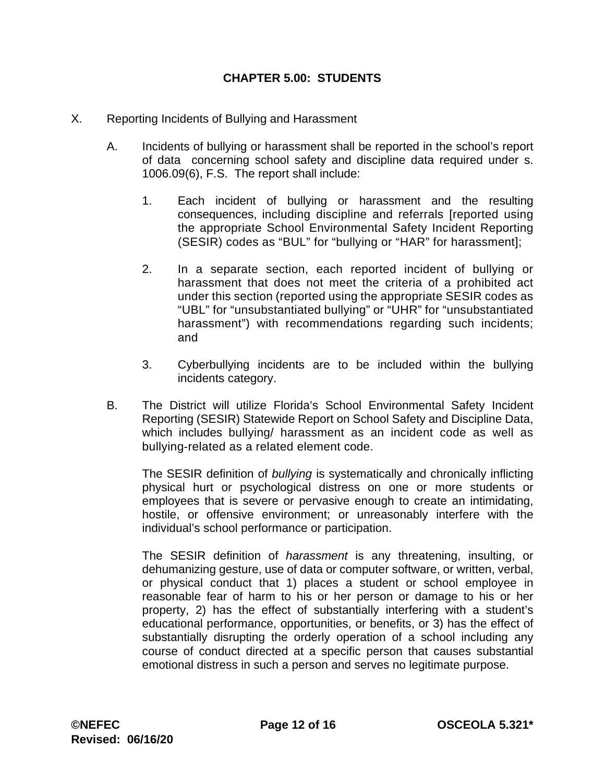- X. Reporting Incidents of Bullying and Harassment
	- A. Incidents of bullying or harassment shall be reported in the school's report of data concerning school safety and discipline data required under s. 1006.09(6), F.S. The report shall include:
		- 1. Each incident of bullying or harassment and the resulting consequences, including discipline and referrals [reported using the appropriate School Environmental Safety Incident Reporting (SESIR) codes as "BUL" for "bullying or "HAR" for harassment];
		- 2. In a separate section, each reported incident of bullying or harassment that does not meet the criteria of a prohibited act under this section (reported using the appropriate SESIR codes as "UBL" for "unsubstantiated bullying" or "UHR" for "unsubstantiated harassment") with recommendations regarding such incidents; and
		- 3. Cyberbullying incidents are to be included within the bullying incidents category.
	- B. The District will utilize Florida's School Environmental Safety Incident Reporting (SESIR) Statewide Report on School Safety and Discipline Data, which includes bullying/ harassment as an incident code as well as bullying-related as a related element code.

The SESIR definition of *bullying* is systematically and chronically inflicting physical hurt or psychological distress on one or more students or employees that is severe or pervasive enough to create an intimidating, hostile, or offensive environment; or unreasonably interfere with the individual's school performance or participation.

The SESIR definition of *harassment* is any threatening, insulting, or dehumanizing gesture, use of data or computer software, or written, verbal, or physical conduct that 1) places a student or school employee in reasonable fear of harm to his or her person or damage to his or her property, 2) has the effect of substantially interfering with a student's educational performance, opportunities, or benefits, or 3) has the effect of substantially disrupting the orderly operation of a school including any course of conduct directed at a specific person that causes substantial emotional distress in such a person and serves no legitimate purpose.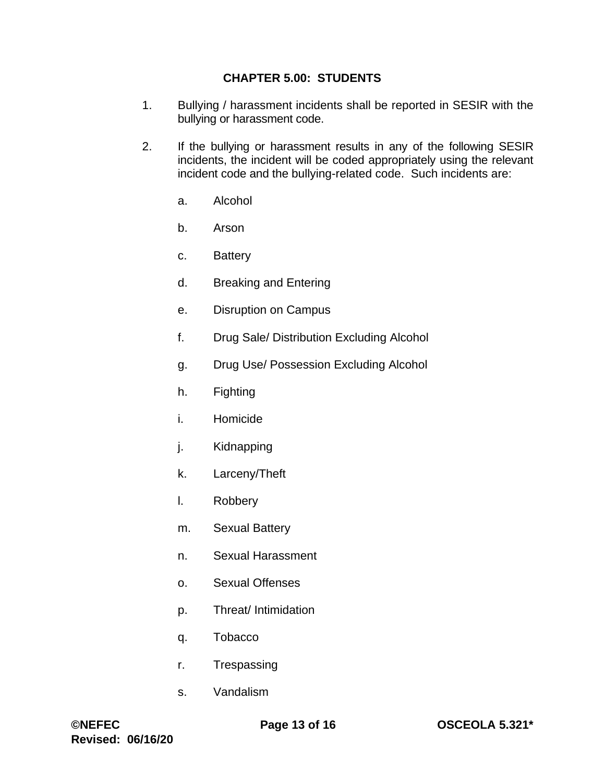- 1. Bullying / harassment incidents shall be reported in SESIR with the bullying or harassment code.
- 2. If the bullying or harassment results in any of the following SESIR incidents, the incident will be coded appropriately using the relevant incident code and the bullying-related code. Such incidents are:
	- a. Alcohol
	- b. Arson
	- c. Battery
	- d. Breaking and Entering
	- e. Disruption on Campus
	- f. Drug Sale/ Distribution Excluding Alcohol
	- g. Drug Use/ Possession Excluding Alcohol
	- h. Fighting
	- i. Homicide
	- j. Kidnapping
	- k. Larceny/Theft
	- l. Robbery
	- m. Sexual Battery
	- n. Sexual Harassment
	- o. Sexual Offenses
	- p. Threat/ Intimidation
	- q. Tobacco
	- r. Trespassing
	- s. Vandalism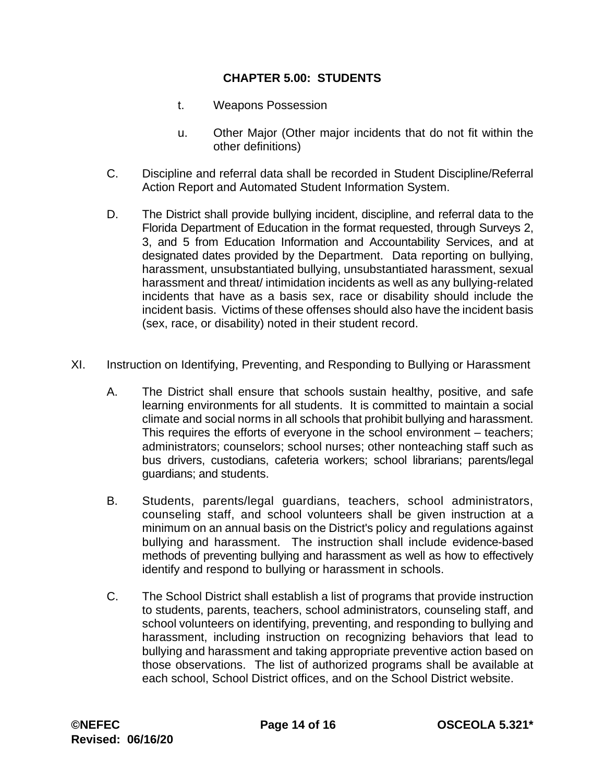- t. Weapons Possession
- u. Other Major (Other major incidents that do not fit within the other definitions)
- C. Discipline and referral data shall be recorded in Student Discipline/Referral Action Report and Automated Student Information System.
- D. The District shall provide bullying incident, discipline, and referral data to the Florida Department of Education in the format requested, through Surveys 2, 3, and 5 from Education Information and Accountability Services, and at designated dates provided by the Department. Data reporting on bullying, harassment, unsubstantiated bullying, unsubstantiated harassment, sexual harassment and threat/ intimidation incidents as well as any bullying-related incidents that have as a basis sex, race or disability should include the incident basis. Victims of these offenses should also have the incident basis (sex, race, or disability) noted in their student record.
- XI. Instruction on Identifying, Preventing, and Responding to Bullying or Harassment
	- A. The District shall ensure that schools sustain healthy, positive, and safe learning environments for all students. It is committed to maintain a social climate and social norms in all schools that prohibit bullying and harassment. This requires the efforts of everyone in the school environment – teachers; administrators; counselors; school nurses; other nonteaching staff such as bus drivers, custodians, cafeteria workers; school librarians; parents/legal guardians; and students.
	- B. Students, parents/legal guardians, teachers, school administrators, counseling staff, and school volunteers shall be given instruction at a minimum on an annual basis on the District's policy and regulations against bullying and harassment. The instruction shall include evidence-based methods of preventing bullying and harassment as well as how to effectively identify and respond to bullying or harassment in schools.
	- C. The School District shall establish a list of programs that provide instruction to students, parents, teachers, school administrators, counseling staff, and school volunteers on identifying, preventing, and responding to bullying and harassment, including instruction on recognizing behaviors that lead to bullying and harassment and taking appropriate preventive action based on those observations. The list of authorized programs shall be available at each school, School District offices, and on the School District website.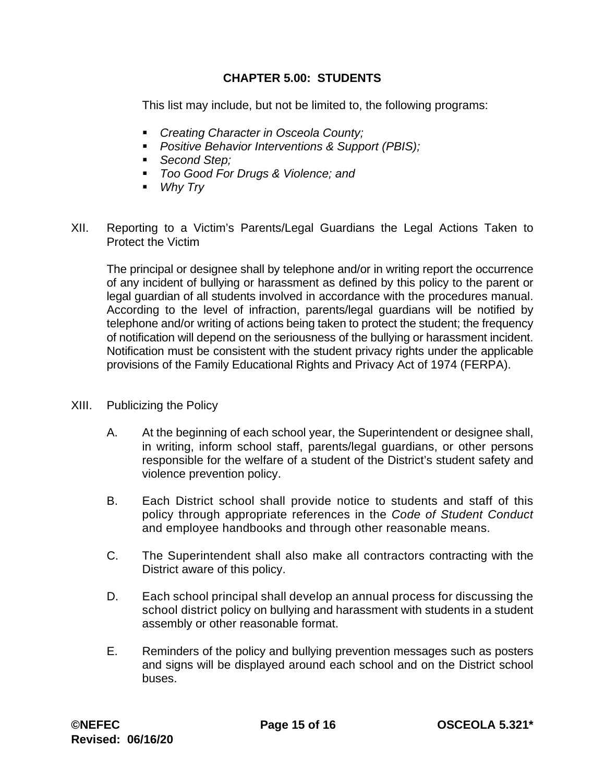This list may include, but not be limited to, the following programs:

- *Creating Character in Osceola County;*
- *Positive Behavior Interventions & Support (PBIS);*
- *Second Step;*
- *Too Good For Drugs & Violence; and*
- *Why Try*
- XII. Reporting to a Victim's Parents/Legal Guardians the Legal Actions Taken to Protect the Victim

The principal or designee shall by telephone and/or in writing report the occurrence of any incident of bullying or harassment as defined by this policy to the parent or legal guardian of all students involved in accordance with the procedures manual. According to the level of infraction, parents/legal guardians will be notified by telephone and/or writing of actions being taken to protect the student; the frequency of notification will depend on the seriousness of the bullying or harassment incident. Notification must be consistent with the student privacy rights under the applicable provisions of the Family Educational Rights and Privacy Act of 1974 (FERPA).

- XIII. Publicizing the Policy
	- A. At the beginning of each school year, the Superintendent or designee shall, in writing, inform school staff, parents/legal guardians, or other persons responsible for the welfare of a student of the District's student safety and violence prevention policy.
	- B. Each District school shall provide notice to students and staff of this policy through appropriate references in the *Code of Student Conduct*  and employee handbooks and through other reasonable means.
	- C. The Superintendent shall also make all contractors contracting with the District aware of this policy.
	- D. Each school principal shall develop an annual process for discussing the school district policy on bullying and harassment with students in a student assembly or other reasonable format.
	- E. Reminders of the policy and bullying prevention messages such as posters and signs will be displayed around each school and on the District school buses.